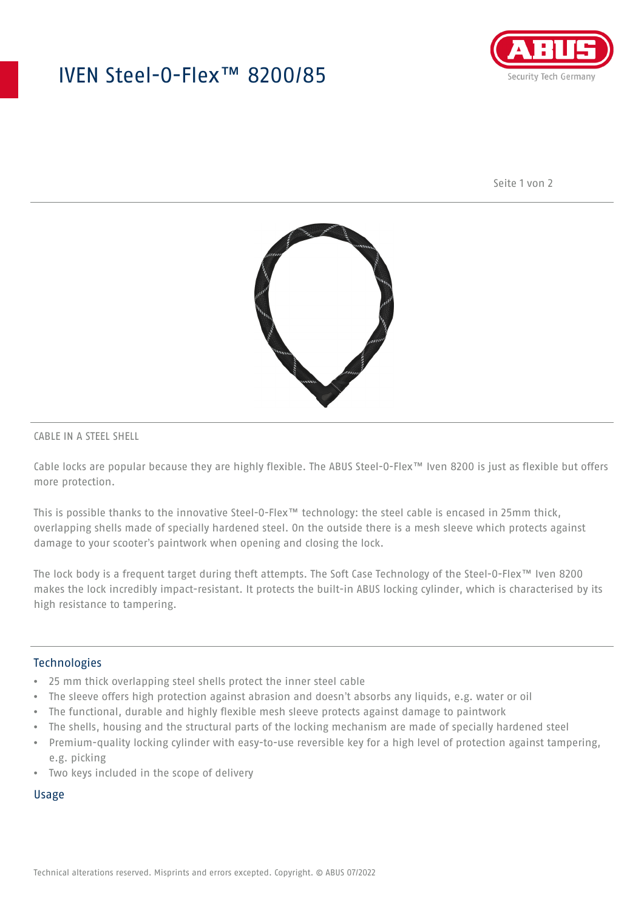## IVEN Steel-O-Flex™ 8200/85



Seite 1 von 2



## CABLE IN A STEEL SHELL

Cable locks are popular because they are highly flexible. The ABUS Steel-O-Flex™ Iven 8200 is just as flexible but offers more protection.

This is possible thanks to the innovative Steel-O-Flex™ technology: the steel cable is encased in 25mm thick, overlapping shells made of specially hardened steel. On the outside there is a mesh sleeve which protects against damage to your scooter's paintwork when opening and closing the lock.

The lock body is a frequent target during theft attempts. The Soft Case Technology of the Steel-O-Flex™ Iven 8200 makes the lock incredibly impact-resistant. It protects the built-in ABUS locking cylinder, which is characterised by its high resistance to tampering.

## Technologies

- 25 mm thick overlapping steel shells protect the inner steel cable
- The sleeve offers high protection against abrasion and doesn't absorbs any liquids, e.g. water or oil
- The functional, durable and highly flexible mesh sleeve protects against damage to paintwork
- The shells, housing and the structural parts of the locking mechanism are made of specially hardened steel
- Premium-quality locking cylinder with easy-to-use reversible key for a high level of protection against tampering, e.g. picking
- Two keys included in the scope of delivery

#### Usage